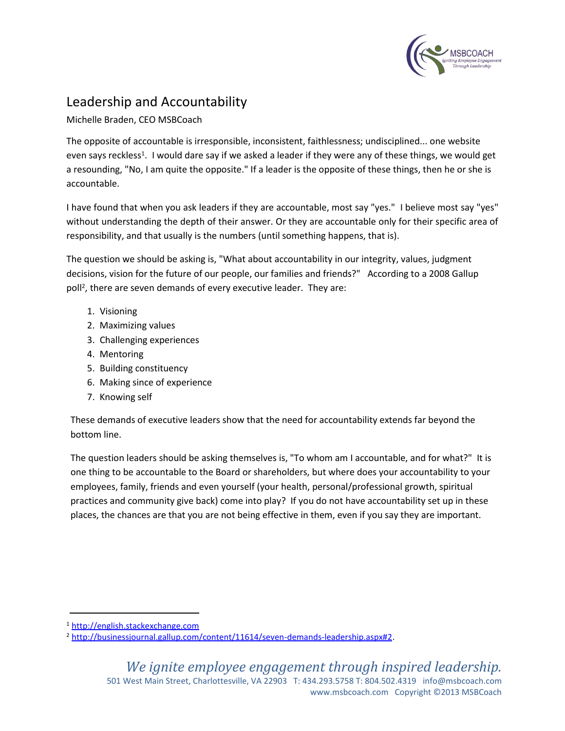

## Leadership and Accountability

Michelle Braden, CEO MSBCoach

The opposite of accountable is irresponsible, inconsistent, faithlessness; undisciplined... one website even says reckless<sup>1</sup>. I would dare say if we asked a leader if they were any of these things, we would get a resounding, "No, I am quite the opposite." If a leader is the opposite of these things, then he or she is accountable.

I have found that when you ask leaders if they are accountable, most say "yes." I believe most say "yes" without understanding the depth of their answer. Or they are accountable only for their specific area of responsibility, and that usually is the numbers (until something happens, that is).

The question we should be asking is, "What about accountability in our integrity, values, judgment decisions, vision for the future of our people, our families and friends?" According to a 2008 Gallup poll<sup>2</sup>, there are seven demands of every executive leader. They are:

- 1. Visioning
- 2. Maximizing values
- 3. Challenging experiences
- 4. Mentoring
- 5. Building constituency
- 6. Making since of experience
- 7. Knowing self

These demands of executive leaders show that the need for accountability extends far beyond the bottom line.

The question leaders should be asking themselves is, "To whom am I accountable, and for what?" It is one thing to be accountable to the Board or shareholders, but where does your accountability to your employees, family, friends and even yourself (your health, personal/professional growth, spiritual practices and community give back) come into play? If you do not have accountability set up in these places, the chances are that you are not being effective in them, even if you say they are important.

<sup>1</sup> [http://english.stackexchange.com](file:///C:/Users/Monica/customXml/item1.xml)

<sup>2</sup> [http://businessjournal.gallup.com/content/11614/seven-demands-leadership.aspx#2.](file:///C:/Users/Monica/Downloads/numbering.xml)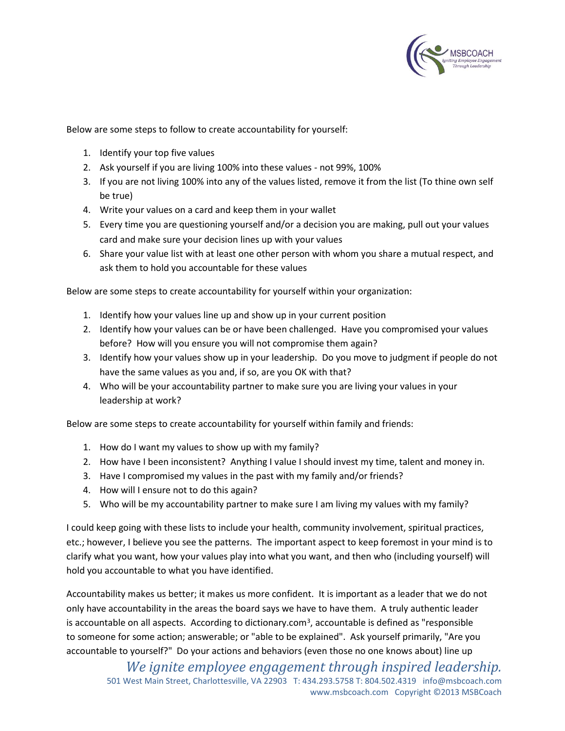

Below are some steps to follow to create accountability for yourself:

- 1. Identify your top five values
- 2. Ask yourself if you are living 100% into these values not 99%, 100%
- 3. If you are not living 100% into any of the values listed, remove it from the list (To thine own self be true)
- 4. Write your values on a card and keep them in your wallet
- 5. Every time you are questioning yourself and/or a decision you are making, pull out your values card and make sure your decision lines up with your values
- 6. Share your value list with at least one other person with whom you share a mutual respect, and ask them to hold you accountable for these values

Below are some steps to create accountability for yourself within your organization:

- 1. Identify how your values line up and show up in your current position
- 2. Identify how your values can be or have been challenged. Have you compromised your values before? How will you ensure you will not compromise them again?
- 3. Identify how your values show up in your leadership. Do you move to judgment if people do not have the same values as you and, if so, are you OK with that?
- 4. Who will be your accountability partner to make sure you are living your values in your leadership at work?

Below are some steps to create accountability for yourself within family and friends:

- 1. How do I want my values to show up with my family?
- 2. How have I been inconsistent? Anything I value I should invest my time, talent and money in.
- 3. Have I compromised my values in the past with my family and/or friends?
- 4. How will I ensure not to do this again?
- 5. Who will be my accountability partner to make sure I am living my values with my family?

I could keep going with these lists to include your health, community involvement, spiritual practices, etc.; however, I believe you see the patterns. The important aspect to keep foremost in your mind is to clarify what you want, how your values play into what you want, and then who (including yourself) will hold you accountable to what you have identified.

Accountability makes us better; it makes us more confident. It is important as a leader that we do not only have accountability in the areas the board says we have to have them. A truly authentic leader is accountable on all aspects. According to dictionary.com<sup>3</sup>, accountable is defined as "responsible to someone for some action; answerable; or "able to be explained". Ask yourself primarily, "Are you accountable to yourself?" Do your actions and behaviors (even those no one knows about) line up

*We ignite employee engagement through inspired leadership.* 501 West Main Street, Charlottesville, VA 22903 T: 434.293.5758 T: 804.502.4319 info@msbcoach.com www.msbcoach.com Copyright ©2013 MSBCoach